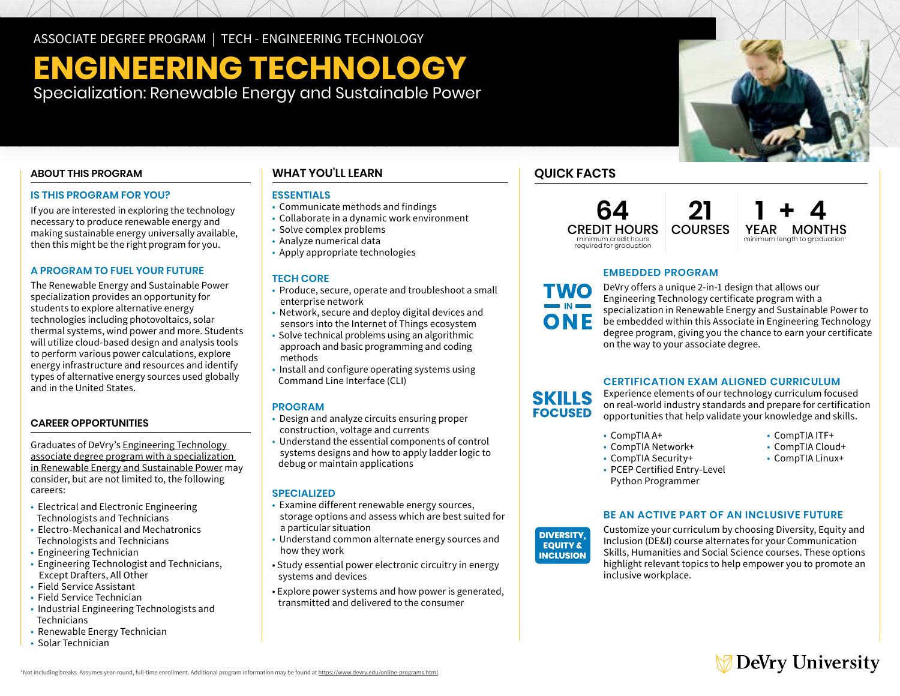ASSOCIATE DEGREE PROGRAM | TECH - ENGINEERING TECHNOLOGY

# **ENGINEERING TECHNOLOGY**

Specialization: Renewable Energy and Sustainable Power

# **ABOUT THIS PROGRAM**

#### **IS THIS PROGRAM FOR YOU?**

If you are interested in exploring the technology necessary to produce renewable energy and making sustainable energy universally available, then this might be the right program for you.

### **A PROGRAM TO FUEL YOUR FUTURE**

The Renewable Energy and Sustainable Power specialization provides an opportunity for students to explore alternative energy technologies including photovoltaics, solar thermal systems, wind power and more. Students will utilize cloud-based design and analysis tools to perform various power calculations, explore energy infrastructure and resources and identify types of alternative energy sources used globally and in the United States.

# **CAREER OPPORTUNITIES**

Graduates of DeVry's [Engineering Technology](https://www.devry.edu/associate-degrees/engineering-technology/reneweable-energy-specialization.html)  [associate degree program with a specialization](https://www.devry.edu/associate-degrees/engineering-technology/reneweable-energy-specialization.html)  [in Renewable Energy and Sustainable Power](https://www.devry.edu/associate-degrees/engineering-technology/reneweable-energy-specialization.html) may consider, but are not limited to, the following careers:

- Electrical and Electronic Engineering Technologists and Technicians
- Electro-Mechanical and Mechatronics Technologists and Technicians
- Engineering Technician
- Engineering Technologist and Technicians, Except Drafters, All Other
- Field Service Assistant
- Field Service Technician
- Industrial Engineering Technologists and Technicians
- Renewable Energy Technician
- Solar Technician

# **WHAT YOU'LL LEARN**

### **ESSENTIALS**

- Communicate methods and findings
- Collaborate in a dynamic work environment
- Solve complex problems
- Analyze numerical data
- Apply appropriate technologies

### **TECH CORE**

- Produce, secure, operate and troubleshoot a small enterprise network
- Network, secure and deploy digital devices and sensors into the Internet of Things ecosystem
- Solve technical problems using an algorithmic approach and basic programming and coding methods
- Install and configure operating systems using Command Line Interface (CLI)

#### **PROGRAM**

- Design and analyze circuits ensuring proper construction, voltage and currents
- Understand the essential components of control systems designs and how to apply ladder logic to debug or maintain applications

### **SPECIALIZED**

- Examine different renewable energy sources, storage options and assess which are best suited for a particular situation
- Understand common alternate energy sources and how they work
- Study essential power electronic circuitry in energy systems and devices
- Explore power systems and how power is generated, transmitted and delivered to the consumer

# **QUICK FACTS**

**TWO** 

ONE

**SKILLS FOCUSED** 

**64** CREDIT HOURS required for graduation



# **EMBEDDED PROGRAM**

**21**

DeVry offers a unique 2-in-1 design that allows our Engineering Technology certificate program with a specialization in Renewable Energy and Sustainable Power to be embedded within this Associate in Engineering Technology degree program, giving you the chance to earn your certificate on the way to your associate degree.

# **CERTIFICATION EXAM ALIGNED CURRICULUM**

Experience elements of our technology curriculum focused on real-world industry standards and prepare for certification opportunities that help validate your knowledge and skills.

- 
- CompTIA A+ CompTIA ITF+  $\cdot$  CompTIA Network+
- CompTIA Security+<br>• CompTIA Linux+
- 
- -
- PCEP Certified Entry-Level Python Programmer

# **BE AN ACTIVE PART OF AN INCLUSIVE FUTURE**



Customize your curriculum by choosing Diversity, Equity and Inclusion (DE&I) course alternates for your Communication Skills, Humanities and Social Science courses. These options highlight relevant topics to help empower you to promote an inclusive workplace.

# **DeVry University**